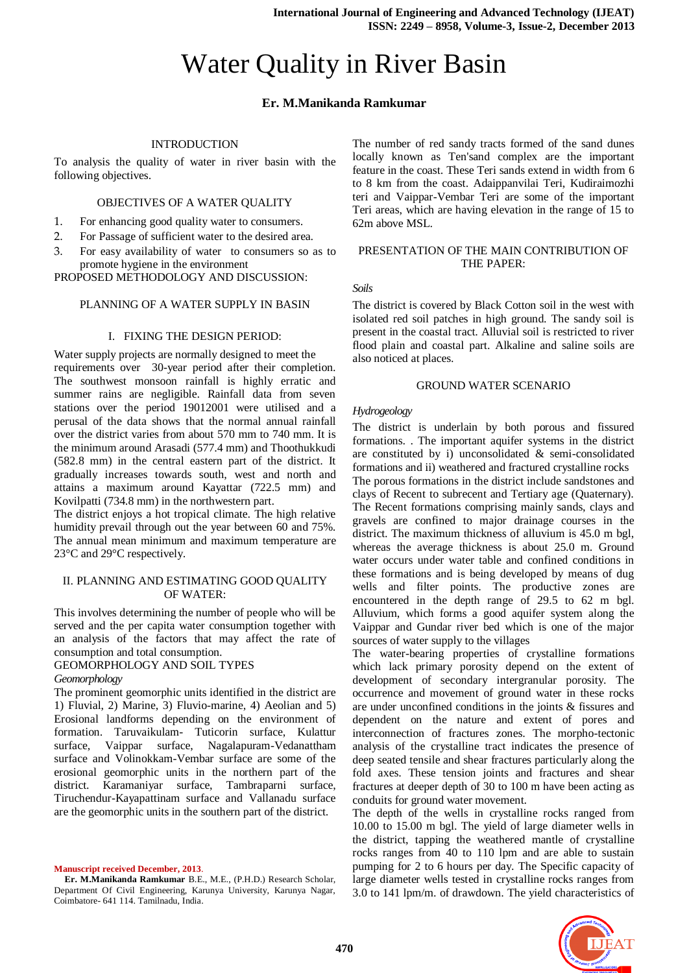# Water Quality in River Basin

## **Er. M.Manikanda Ramkumar**

## INTRODUCTION

To analysis the quality of water in river basin with the following objectives.

## OBJECTIVES OF A WATER QUALITY

- 1. For enhancing good quality water to consumers.
- 2. For Passage of sufficient water to the desired area.
- 3. For easy availability of water to consumers so as to promote hygiene in the environment

PROPOSED METHODOLOGY AND DISCUSSION:

## PLANNING OF A WATER SUPPLY IN BASIN

## I. FIXING THE DESIGN PERIOD:

Water supply projects are normally designed to meet the requirements over 30-year period after their completion. The southwest monsoon rainfall is highly erratic and summer rains are negligible. Rainfall data from seven stations over the period 19012001 were utilised and a perusal of the data shows that the normal annual rainfall over the district varies from about 570 mm to 740 mm. It is the minimum around Arasadi (577.4 mm) and Thoothukkudi (582.8 mm) in the central eastern part of the district. It gradually increases towards south, west and north and attains a maximum around Kayattar (722.5 mm) and Kovilpatti (734.8 mm) in the northwestern part.

The district enjoys a hot tropical climate. The high relative humidity prevail through out the year between 60 and 75%. The annual mean minimum and maximum temperature are 23°C and 29°C respectively.

## II. PLANNING AND ESTIMATING GOOD QUALITY OF WATER:

This involves determining the number of people who will be served and the per capita water consumption together with an analysis of the factors that may affect the rate of consumption and total consumption.

## GEOMORPHOLOGY AND SOIL TYPES *Geomorphology*

The prominent geomorphic units identified in the district are 1) Fluvial, 2) Marine, 3) Fluvio-marine, 4) Aeolian and 5) Erosional landforms depending on the environment of formation. Taruvaikulam- Tuticorin surface, Kulattur surface, Vaippar surface, Nagalapuram-Vedanattham

surface and Volinokkam-Vembar surface are some of the erosional geomorphic units in the northern part of the district. Karamaniyar surface, Tambraparni surface, Tiruchendur-Kayapattinam surface and Vallanadu surface are the geomorphic units in the southern part of the district.

**Manuscript received December, 2013**.

**Er. M.Manikanda Ramkumar** B.E., M.E., (P.H.D.) Research Scholar, Department Of Civil Engineering, Karunya University, Karunya Nagar, Coimbatore- 641 114. Tamilnadu, India.

The number of red sandy tracts formed of the sand dunes locally known as Ten'sand complex are the important feature in the coast. These Teri sands extend in width from 6 to 8 km from the coast. Adaippanvilai Teri, Kudiraimozhi teri and Vaippar-Vembar Teri are some of the important Teri areas, which are having elevation in the range of 15 to 62m above MSL.

## PRESENTATION OF THE MAIN CONTRIBUTION OF THE PAPER:

*Soils*

The district is covered by Black Cotton soil in the west with isolated red soil patches in high ground. The sandy soil is present in the coastal tract. Alluvial soil is restricted to river flood plain and coastal part. Alkaline and saline soils are also noticed at places.

## GROUND WATER SCENARIO

## *Hydrogeology*

The district is underlain by both porous and fissured formations. . The important aquifer systems in the district are constituted by i) unconsolidated & semi-consolidated formations and ii) weathered and fractured crystalline rocks The porous formations in the district include sandstones and clays of Recent to subrecent and Tertiary age (Quaternary). The Recent formations comprising mainly sands, clays and gravels are confined to major drainage courses in the district. The maximum thickness of alluvium is 45.0 m bgl, whereas the average thickness is about 25.0 m. Ground water occurs under water table and confined conditions in these formations and is being developed by means of dug wells and filter points. The productive zones are encountered in the depth range of 29.5 to 62 m bgl. Alluvium, which forms a good aquifer system along the Vaippar and Gundar river bed which is one of the major sources of water supply to the villages

The water-bearing properties of crystalline formations which lack primary porosity depend on the extent of development of secondary intergranular porosity. The occurrence and movement of ground water in these rocks are under unconfined conditions in the joints & fissures and dependent on the nature and extent of pores and interconnection of fractures zones. The morpho-tectonic analysis of the crystalline tract indicates the presence of deep seated tensile and shear fractures particularly along the fold axes. These tension joints and fractures and shear fractures at deeper depth of 30 to 100 m have been acting as conduits for ground water movement.

The depth of the wells in crystalline rocks ranged from 10.00 to 15.00 m bgl. The yield of large diameter wells in the district, tapping the weathered mantle of crystalline rocks ranges from 40 to 110 lpm and are able to sustain pumping for 2 to 6 hours per day. The Specific capacity of large diameter wells tested in crystalline rocks ranges from 3.0 to 141 lpm/m. of drawdown. The yield characteristics of

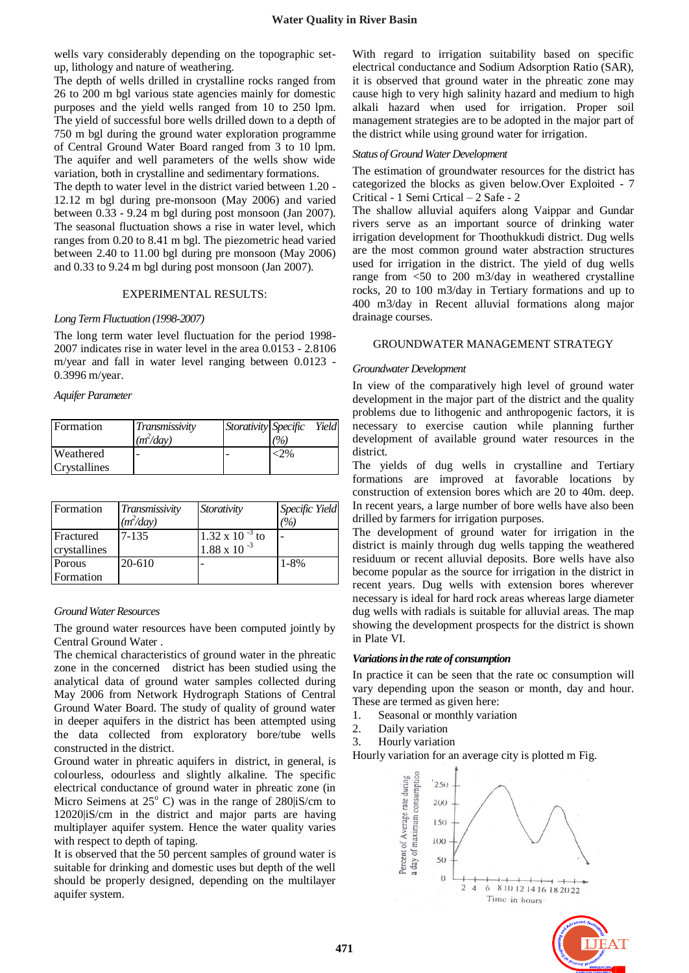wells vary considerably depending on the topographic setup, lithology and nature of weathering.

The depth of wells drilled in crystalline rocks ranged from 26 to 200 m bgl various state agencies mainly for domestic purposes and the yield wells ranged from 10 to 250 lpm. The yield of successful bore wells drilled down to a depth of 750 m bgl during the ground water exploration programme of Central Ground Water Board ranged from 3 to 10 lpm. The aquifer and well parameters of the wells show wide variation, both in crystalline and sedimentary formations.

The depth to water level in the district varied between 1.20 - 12.12 m bgl during pre-monsoon (May 2006) and varied between 0.33 - 9.24 m bgl during post monsoon (Jan 2007). The seasonal fluctuation shows a rise in water level, which ranges from 0.20 to 8.41 m bgl. The piezometric head varied between 2.40 to 11.00 bgl during pre monsoon (May 2006) and 0.33 to 9.24 m bgl during post monsoon (Jan 2007).

#### EXPERIMENTAL RESULTS:

#### *Long Term Fluctuation (1998-2007)*

The long term water level fluctuation for the period 1998- 2007 indicates rise in water level in the area 0.0153 - 2.8106 m/year and fall in water level ranging between 0.0123 - 0.3996 m/year.

*Aquifer Parameter*

| Formation                        | Transmissivity<br>$(m^2/day)$ | Storativity Specific | (%)     | Yield |
|----------------------------------|-------------------------------|----------------------|---------|-------|
| Weathered<br><b>Crystallines</b> |                               |                      | $< 2\%$ |       |

| Formation    | Transmissivity | Storativity              | Specific Yield          |
|--------------|----------------|--------------------------|-------------------------|
|              | $(m^2/day)$    |                          | $\frac{\gamma}{\gamma}$ |
| Fractured    | $7 - 135$      | $1.32 \times 10^{-3}$ to |                         |
| crystallines |                | $1.88 \times 10^{-3}$    |                         |
| Porous       | 20-610         |                          | $1 - 8\%$               |
| Formation    |                |                          |                         |

#### *Ground Water Resources*

The ground water resources have been computed jointly by Central Ground Water .

The chemical characteristics of ground water in the phreatic zone in the concerned district has been studied using the analytical data of ground water samples collected during May 2006 from Network Hydrograph Stations of Central Ground Water Board. The study of quality of ground water in deeper aquifers in the district has been attempted using the data collected from exploratory bore/tube wells constructed in the district.

Ground water in phreatic aquifers in district, in general, is colourless, odourless and slightly alkaline. The specific electrical conductance of ground water in phreatic zone (in Micro Seimens at  $25^{\circ}$  C) was in the range of  $280|iS/cm$  to 12020|iS/cm in the district and major parts are having multiplayer aquifer system. Hence the water quality varies with respect to depth of taping.

It is observed that the 50 percent samples of ground water is suitable for drinking and domestic uses but depth of the well should be properly designed, depending on the multilayer aquifer system.

With regard to irrigation suitability based on specific electrical conductance and Sodium Adsorption Ratio (SAR), it is observed that ground water in the phreatic zone may cause high to very high salinity hazard and medium to high alkali hazard when used for irrigation. Proper soil management strategies are to be adopted in the major part of the district while using ground water for irrigation.

#### *Status of Ground Water Development*

The estimation of groundwater resources for the district has categorized the blocks as given below.Over Exploited - 7 Critical - 1 Semi Crtical – 2 Safe - 2

The shallow alluvial aquifers along Vaippar and Gundar rivers serve as an important source of drinking water irrigation development for Thoothukkudi district. Dug wells are the most common ground water abstraction structures used for irrigation in the district. The yield of dug wells range from <50 to 200 m3/day in weathered crystalline rocks, 20 to 100 m3/day in Tertiary formations and up to 400 m3/day in Recent alluvial formations along major drainage courses.

#### GROUNDWATER MANAGEMENT STRATEGY

#### *Groundwater Development*

In view of the comparatively high level of ground water development in the major part of the district and the quality problems due to lithogenic and anthropogenic factors, it is necessary to exercise caution while planning further development of available ground water resources in the district.

The yields of dug wells in crystalline and Tertiary formations are improved at favorable locations by construction of extension bores which are 20 to 40m. deep. In recent years, a large number of bore wells have also been drilled by farmers for irrigation purposes.

The development of ground water for irrigation in the district is mainly through dug wells tapping the weathered residuum or recent alluvial deposits. Bore wells have also become popular as the source for irrigation in the district in recent years. Dug wells with extension bores wherever necessary is ideal for hard rock areas whereas large diameter dug wells with radials is suitable for alluvial areas. The map showing the development prospects for the district is shown in Plate VI.

#### *Variations in the rate of consumption*

In practice it can be seen that the rate oc consumption will vary depending upon the season or month, day and hour. These are termed as given here:

- 1. Seasonal or monthly variation
- 2. Daily variation
- 3. Hourly variation

Hourly variation for an average city is plotted m Fig.